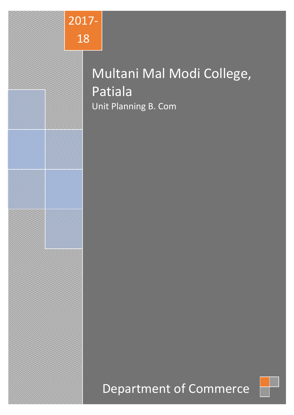

# Multani Mal Modi College, Patiala Unit Planning B. Com

# Department of Commerce

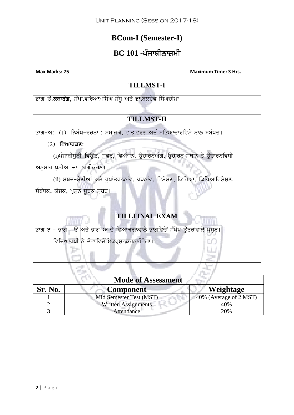# **BCom-I (Semester-I)**

# **BC 101 -ਪੰਜਾਬੀਲਾਜ਼ਮੀ**

| <b>TILLMST-I</b>                                                            |
|-----------------------------------------------------------------------------|
| ਭਾਗ-ੳ:ਕਥਾਰੰਗ, ਸੰਪਾ.ਵਰਿਆਮਸਿੰਘ ਸੰਧੂ ਅਤੇ ਡਾ.ਬਲਦੇਵ ਸਿੰਘਚੀਮਾ।                    |
|                                                                             |
| <b>TILLMST-II</b>                                                           |
| ਂ (1)  ਨਿਬੰਧ-ਰਚਨਾ : ਸਮਾਜੂਕ, ਵਾਤਾਵਰਣ ਅਤੇ ਸਭਿਆਚਾਰਵਿਸ਼ੇ ਨਾਲ ਸਬੰਧਤ।<br>ਭਾਗ–ਅ∶   |
| $(2)$ ਵਿਆਰਕਣ:                                                               |
| (i)ਪੰਜਾਬੀਧੁਨੀ-ਵਿਉਂਤ, ਸਵਰ, ਵਿਅੰਜਨ, ਉਚਾਰਨਅੰਗ, ਉਚਾਰਨ ਸਥਾਨ ਤੇ ਉਚਾਰਨਵਿਧੀ         |
| ਅਨੁਸਾਰ ਧੁਨੀਆਂ ਦਾ ਵਰਗੀਕਰਣ।                                                   |
| (ii) ਸ਼ਬਦ-ਸ਼ੇਣੀਆਂ ਅਤੇ ਰੁਪਾਂਤਰਨਨਾਂਵ, ਪੜਨਾਂਵ, ਵਿਸ਼ੇਸ਼ਣ, ਕਿਰਿਆ, ਕਿਰਿਆਵਿਸ਼ੇਸ਼ਣ, |
| ਸੰਬੰਧਕ, ਯੋਜਕ, ਪ੍ਰਸ਼ਨ ਸੁਚਕ ਸ਼ਬਦ।                                             |
|                                                                             |
| <b>TILLFINAL EXAM</b>                                                       |
| ਭਾਗ ੲ – ਭਾਗ –ੳ ਅਤੇ ਭਾਗ–ਅ ਦੇ ਵਿਆਕਰਨਵਾਲੇ ਭਾਗਵਿਚੋਂ ਸੰਖੇਪ ਉੱਤਰਾਂਵਾਲੇ ਪ੍ਰਸ਼ਨ।    |
| ਵਿਦਿਆਰਥੀ ਨੇ ਦੋਵਾਂਵਿਚੋਂਇੱਕਪ੍ਰਸ਼ਨਕਰਨਾਹੋਵੇਗਾ।                                  |
|                                                                             |
|                                                                             |

| <b>Mode of Assessment</b> |                            |                        |
|---------------------------|----------------------------|------------------------|
| Sr. No.                   | <b>Component</b>           | Weightage              |
|                           | Mid Semester Test (MST)    | 40% (Average of 2 MST) |
|                           | <b>Written Assignments</b> | 40%                    |
|                           | Attendance                 | 20%                    |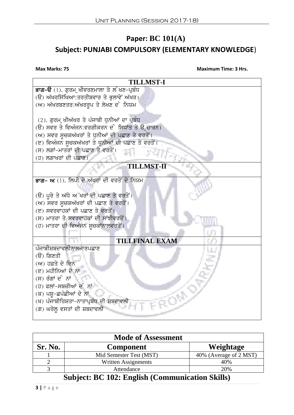# **Paper: BC 101(A) Subject: PUNJABI COMPULSORY (ELEMENTARY KNOWLEDGE**)

**Max Marks: 75 Maximum Time: 3 Hrs.**



| <b>Mode of Assessment</b>                                                                                                                                                                                                                                                                                                                                                                                        |                         |                        |
|------------------------------------------------------------------------------------------------------------------------------------------------------------------------------------------------------------------------------------------------------------------------------------------------------------------------------------------------------------------------------------------------------------------|-------------------------|------------------------|
| Sr. No.                                                                                                                                                                                                                                                                                                                                                                                                          | <b>Component</b>        | Weightage              |
|                                                                                                                                                                                                                                                                                                                                                                                                                  | Mid Semester Test (MST) | 40% (Average of 2 MST) |
|                                                                                                                                                                                                                                                                                                                                                                                                                  | Written Assignments     | 40%                    |
|                                                                                                                                                                                                                                                                                                                                                                                                                  | Attendance              | 20%                    |
| $\sim$ $\cdot$<br>$\mathbf{R} \cap \mathbf{A} \cap \mathbf{A}$ $\mathbf{R}$ $\mathbf{R}$ $\mathbf{R}$ $\mathbf{R}$ $\mathbf{R}$ $\mathbf{R}$ $\mathbf{R}$ $\mathbf{R}$ $\mathbf{R}$ $\mathbf{R}$ $\mathbf{R}$ $\mathbf{R}$ $\mathbf{R}$ $\mathbf{R}$ $\mathbf{R}$ $\mathbf{R}$ $\mathbf{R}$ $\mathbf{R}$ $\mathbf{R}$ $\mathbf{R}$ $\mathbf{R}$ $\mathbf{R}$<br>$\sim$ $\sim$ $\sim$<br>$\overline{\phantom{a}}$ |                         |                        |

# **Subject: BC 102: English (Communication Skills)**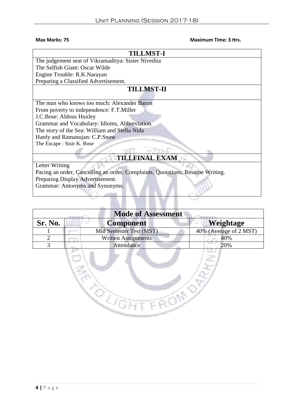| <b>TILLMST-I</b>                                                              |  |  |
|-------------------------------------------------------------------------------|--|--|
| The judgement seat of Vikramaditya: Sister Nivedita                           |  |  |
| The Selfish Giant: Oscar Wilde                                                |  |  |
| Engine Trouble: R.K.Narayan                                                   |  |  |
| Preparing a Classified Advertisement.                                         |  |  |
| <b>TILLMST-II</b>                                                             |  |  |
|                                                                               |  |  |
| The man who knows too much: Alexander Baron                                   |  |  |
| From poverty to independence: F.T.Miller                                      |  |  |
| J.C.Bose: Aldous Huxley                                                       |  |  |
| Grammar and Vocabulary: Idioms, Abbreviation.                                 |  |  |
| The story of the Sea: William and Stella Nida                                 |  |  |
| Hardy and Ramanujan: C.P.Snow                                                 |  |  |
| The Escape: Sisir K. Bose                                                     |  |  |
|                                                                               |  |  |
| <b>TILLFINAL EXAM</b>                                                         |  |  |
| Letter Writing                                                                |  |  |
| Pacing an order, Cancelling an order, Complaints, Quotations, Resume Writing. |  |  |
| Preparing Display Advertisement.                                              |  |  |
| Grammar: Antonyms and Synonyms.                                               |  |  |
|                                                                               |  |  |
|                                                                               |  |  |
|                                                                               |  |  |

| <b>Mode of Assessment</b> |                            |                        |
|---------------------------|----------------------------|------------------------|
| Sr. No.                   | <b>Component</b>           | Weightage              |
|                           | Mid Semester Test (MST)    | 40% (Average of 2 MST) |
| ∍                         | <b>Written Assignments</b> | 40%                    |
| 3                         | Attendance                 | 20%                    |
|                           |                            |                        |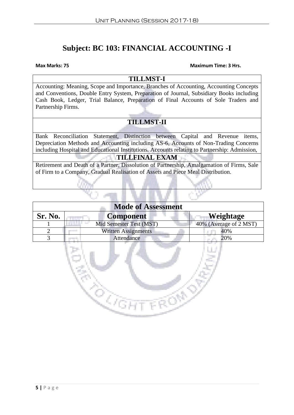# **Subject: BC 103: FINANCIAL ACCOUNTING -I**

#### **Max Marks: 75 Maximum Time: 3 Hrs.**

**TILLMST-I**

Accounting: Meaning, Scope and Importance, Branches of Accounting, Accounting Concepts and Conventions, Double Entry System, Preparation of Journal, Subsidiary Books including Cash Book, Ledger, Trial Balance, Preparation of Final Accounts of Sole Traders and Partnership Firms.

# **TILLMST-II**

Bank Reconciliation Statement, Distinction between Capital and Revenue items, Depreciation Methods and Accounting including AS-6, Accounts of Non-Trading Concerns including Hospital and Educational Institutions. Accounts relating to Partnership: Admission,

## **TILLFINAL EXAM**

Retirement and Death of a Partner, Dissolution of Partnership, Amalgamation of Firms, Sale of Firm to a Company, Gradual Realisation of Assets and Piece Meal Distribution.

| <b>Mode of Assessment</b> |                            |                        |  |
|---------------------------|----------------------------|------------------------|--|
| Sr. No.                   | <b>Component</b>           | Weightage              |  |
|                           | Mid Semester Test (MST)    | 40% (Average of 2 MST) |  |
| $\overline{2}$            | <b>Written Assignments</b> | 40%                    |  |
| 3                         | Attendance                 | 20%                    |  |
|                           |                            |                        |  |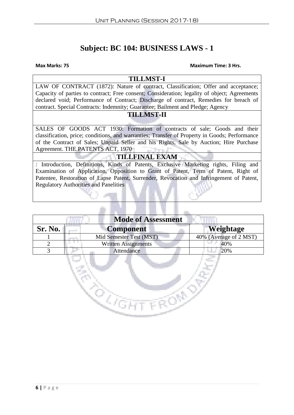# **Subject: BC 104: BUSINESS LAWS - 1**

#### **Max Marks: 75 Maximum Time: 3 Hrs.**

### **TILLMST-I**

LAW OF CONTRACT (1872): Nature of contract, Classification; Offer and acceptance; Capacity of parties to contract; Free consent; Consideration; legality of object; Agreements declared void; Performance of Contract; Discharge of contract, Remedies for breach of contract. Special Contracts: Indemnity; Guarantee; Bailment and Pledge; Agency

#### **TILLMST-II**

SALES OF GOODS ACT 1930: Formation of contracts of sale; Goods and their classification, price; conditions, and warranties; Transfer of Property in Goods; Performance of the Contract of Sales; Unpaid Seller and his Rights, Sale by Auction; Hire Purchase Agreement. THE PATENTS ACT*,* 1970

### **TILLFINAL EXAM**

*:* Introduction, Definitions, Kinds of Patents, Exclusive Marketing rights, Filing and Examination of Application, Opposition to Grant of Patent, Term of Patent, Right of Patentee, Restoration of Lapse Patent, Surrender, Revocation and Infringement of Patent, Regulatory Authorities and Panelities

| <b>Mode of Assessment</b> |                            |                                             |
|---------------------------|----------------------------|---------------------------------------------|
| Sr. No.                   | <b>Component</b>           | Weightage                                   |
|                           | Mid Semester Test (MST)    | 40% (Average of $2\overline{\text{MST}}}$ ) |
|                           | <b>Written Assignments</b> | 40%                                         |
|                           | Attendance                 | 20%                                         |
|                           |                            |                                             |

**ROGHT FROM**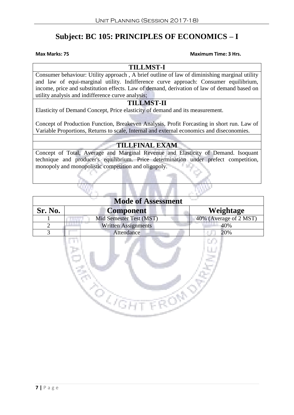# **Subject: BC 105: PRINCIPLES OF ECONOMICS – I**

#### **Max Marks: 75 Maximum Time: 3 Hrs.**

### **TILLMST-I**

Consumer behaviour: Utility approach , A brief outline of law of diminishing marginal utility and law of equi-marginal utility. Indifference curve approach: Consumer equilibrium, income, price and substitution effects. Law of demand, derivation of law of demand based on utility analysis and indifference curve analysis;

# **TILLMST-II**

Elasticity of Demand Concept, Price elasticity of demand and its measurement.

Concept of Production Function, Breakeven Analysis, Profit Forcasting in short run. Law of Variable Proportions, Returns to scale, Internal and external economics and diseconomies.

# **TILLFINAL EXAM**

Concept of Total, Average and Marginal Revenue and Elasticity of Demand. Isoquant technique and producer's equilibrium. Price determination under prefect competition, monopoly and monopolistic competition and oligopoly.

| <b>Mode of Assessment</b> |                            |                        |
|---------------------------|----------------------------|------------------------|
| Sr. No.                   | <b>Component</b>           | Weightage              |
|                           | Mid Semester Test (MST)    | 40% (Average of 2 MST) |
|                           | <b>Written Assignments</b> | 40%                    |
|                           | Attendance                 | 20%                    |
|                           |                            |                        |

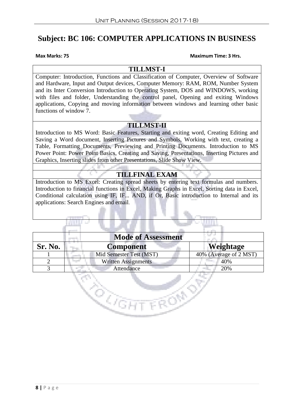# **Subject: BC 106: COMPUTER APPLICATIONS IN BUSINESS**

#### **Max Marks: 75 Maximum Time: 3 Hrs.**

### **TILLMST-I**

Computer: Introduction, Functions and Classification of Computer, Overview of Software and Hardware, Input and Output devices, Computer Memory: RAM, ROM, Number System and its Inter Conversion Introduction to Operating System, DOS and WINDOWS, working with files and folder, Understanding the control panel, Opening and exiting Windows applications, Copying and moving information between windows and learning other basic functions of window 7.

## **TILLMST-II**

Introduction to MS Word: Basic Features, Starting and exiting word, Creating Editing and Saving a Word document, Inserting Pictures and Symbols, Working with text, creating a Table, Formatting Documents, Previewing and Printing Documents. Introduction to MS Power Point: Power Point Basics, Creating and Saving, Presentations, Inserting Pictures and Graphics, Inserting slides from other Presentations, Slide Show View.

# **TILLFINAL EXAM**

Introduction to MS Excel: Creating spread sheets by entering text formulas and numbers. Introduction to financial functions in Excel, Making Graphs in Excel, Sorting data in Excel, Conditional calculation using IF, IF... AND, if Or, Basic introduction to Internal and its applications: Search Engines and email.

| <b>Mode of Assessment</b> |                            |                        |
|---------------------------|----------------------------|------------------------|
| Sr. No.                   | <b>Component</b>           | Weightage              |
|                           | Mid Semester Test (MST)    | 40% (Average of 2 MST) |
|                           | <b>Written Assignments</b> | 40%                    |
|                           | Attendance                 | 20%                    |
|                           |                            |                        |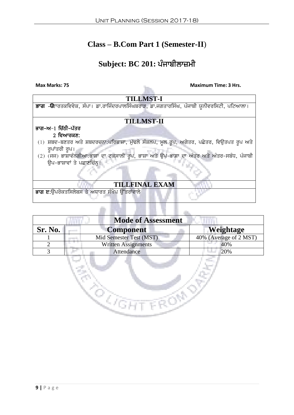# **Class – B.Com Part 1 (Semester-II**)

# **Subject: BC 201: ਪੰਜਾਬੀਲਾਜ਼ਮੀ**

**Max Marks: 75 Maximum Time: 3 Hrs.** 

| <b>TILLMST-I</b>                                                                                      |  |  |  |
|-------------------------------------------------------------------------------------------------------|--|--|--|
| <mark>ਭਾਗ -ੳ</mark> ਦਾਰਤਕਵਿਵੇਕ, ਸੰਪਾ। ਡਾ.ਰਾਜਿੰਦਰਪਾਲਸਿੰਘਬਰਾੜ, ਡਾ.ਜਗਤਾਰਸਿੰਘ, ਪੰਜਾਬੀ ਯੂਨੀਵਰਸਿਟੀ, ਪਟਿਆਲਾ। |  |  |  |
|                                                                                                       |  |  |  |
| <b>TILLMST-II</b>                                                                                     |  |  |  |
| ਭਾਗ–ਅ−1 ਚਿੱਠੀ–ਪੱਤਰ                                                                                    |  |  |  |
| 2 ਵਿਆਰਕਣ:                                                                                             |  |  |  |
| (1) ਸ਼ਬਦ-ਬਣਤਰ ਅਤੇ ਸ਼ਬਦਰਚਨਾ:ਪਰਿਭਾਸ਼ਾ, ਮੁੱਢਲੇ ਸੰਕਲਪ, ਮੁਲ ਰੂਪ, ਅਗੇਤਰ, ਪਛੇਤਰ, ਵਿਉਤਪਤ ਰੂਪ ਅਤੇ              |  |  |  |
| ਰੁਪਾਂਤਰੀ ਰੂਪ।                                                                                         |  |  |  |
| (2) (ਜਜ) ਭਾਸ਼ਾਵੰਨਗੀਆ:ਭਾਸ਼ਾ ਦਾ ਟਕਸਾਲੀ ਰੂਪ, ਭਾਸ਼ਾ ਅਤੇ ਉਪ-ਭਾਸ਼ਾ ਦਾ ਅੰਤਰ ਅਤੇ ਅੰਤਰ-ਸਬੰਧ, ਪੰਜਾਬੀ            |  |  |  |
| ਉਪ-ਭਾਸ਼ਾਵਾਂ ਤੇ ਪਛਾਣਚਿੰਨ।                                                                              |  |  |  |
|                                                                                                       |  |  |  |
|                                                                                                       |  |  |  |
| <b>TILLFINAL EXAM</b>                                                                                 |  |  |  |
| ਭਾਗ ੲ:ਉਪਰੋਕਤਸਿਲੇਬਸ ਤੇ ਅਧਾਰਤ ਸੰਖੇਪ ਉੱਤਰਾਂਵਾਲੇ                                                          |  |  |  |
|                                                                                                       |  |  |  |

| <b>Mode of Assessment</b> |                            |                        |
|---------------------------|----------------------------|------------------------|
| Sr. No.                   | <b>Component</b>           | Weightage              |
|                           | Mid Semester Test (MST)    | 40% (Average of 2 MST) |
|                           | <b>Written Assignments</b> | 40%                    |
|                           | Attendance                 | 20%                    |
|                           |                            |                        |

<u>to</u>ol

 $\mathcal{C}^{\mathcal{C}}$ 

Š,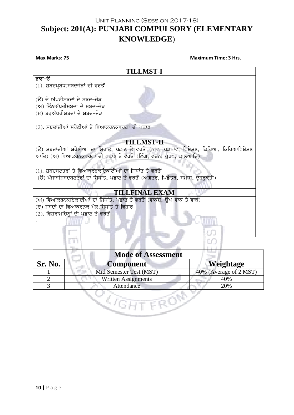# Unit Planning (Session 2017-18) **Subject: 201(A): PUNJABI COMPULSORY (ELEMENTARY KNOWLEDGE**)

**Max Marks: 75 Maximum Time: 3 Hrs. TILLMST-I** ਭਾਗ–ੳ  $(1)$ . ਸ਼ਬਦਪ੍ਰਬੰਧ:ਸ਼ਬਦਜੋੜਾਂ ਦੀ ਵਰਤੋਂ  $( \theta )$  ਦੋ ਅੱਖਰੀਸ਼ਬਦਾਂ ਦੇ ਸ਼ਬਦ-ਜੋੜ  $(m)$  ਤਿੰਨਅੱਖਰੀਸ਼ਬਦਾਂ ਦੇ ਸ਼ਬਦ–ਜੋੜ  $(E)$  ਬਹੁਅੱਖਰੀਸ਼ਬਦਾਂ ਦੇ ਸ਼ਬਦ-ਜੋੜ  $(2)$ . ਸ਼ਬਦਾਂਦੀਆਂ ਸ਼ਰੇਣੀਆਂ ਤੇ ਵਿਆਕਰਨਕਵਰਗਾਂ ਦੀ ਪਛਾਣ **TILLMST-II** (ੳ) ਸ਼ਬਦਾਂਦੀਆਂ ਸ਼ਰੇਣੀਆਂ ਦਾ ਸਿਧਾਂਤ, ਪਛਾਣ ਤੇ ਵਰਤੋਂ (ਨਾਂਵ, ਪੜਨਾਂਵ, ਵਿਸ਼ੇਸ਼ਣ, ਕਿਰਿਆ, ਕਿਰਿਆਵਿਸ਼ੇਸ਼ਣ ਆਦਿ) (ਅ) ਵਿਆਕਰਨਕਵਰਗਾਂ ਦੀ ਪਛਾਣ ਤੇ ਵਰਤੋਂ (ਲਿੰਗ, ਵਚਨ, ਪੂਰਖ, ਕਾਲਆਦਿ) (1). ਸ਼ਬਦਬਣਤਰਾਂ ਤੇ ਵਿਆਕਰਨਕਇਕਾਈਆਂ ਦਾ ਸਿਧਾਂਤ ਤੇ ਵਰਤੋਂ (ੳ) ਪੰਜਾਬੀਸ਼ਬਦਬਣਤਰਾਂ ਦਾ ਸਿਧਾਂਤ, ਪਛਾਣ ਤੇ ਵਰਤੋਂ (ਅਗੇਤਰ, ਪਿਛੇਤਰ, ਸਮਾਸ, ਦੁਹਰੁਕਤੀ) **TILLFINAL EXAM** (ਅ) ਵਿਆਕਰਨਕਇਕਾਈਆਂ ਦਾ ਸਿਧਾਂਤ, ਪਛਾਣ ਤੇ ਵਰਤੋਂ (ਵਾਕੰਸ਼, ੳਪ-ਵਾਕ ਤੇ ਵਾਕ) (ੲ) ਸ਼ਬਦਾਂ ਦਾ ਵਿਆਕਰਨਕ ਮੇਲ:ਸਿਧਾਂਤ ਤੇ ਵਿਹਾਰ  $(2)$ . ਵਿਸ਼ਰਾਮਚਿੰਨ੍ਹਾਂ ਦੀ ਪਛਾਣ ਤੇ ਵਰਤੋਂ .

| <b>Mode of Assessment</b> |                            |                        |
|---------------------------|----------------------------|------------------------|
| <b>Sr. No.</b>            | <b>Component</b>           | Weightage              |
|                           | Mid Semester Test (MST)    | 40% (Average of 2 MST) |
|                           | <b>Written Assignments</b> | 40%                    |
|                           | Attendance                 | 20%                    |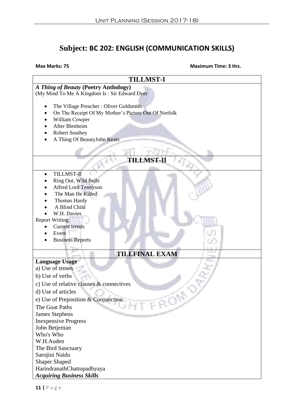# **Subject: BC 202: ENGLISH (COMMUNICATION SKILLS)**

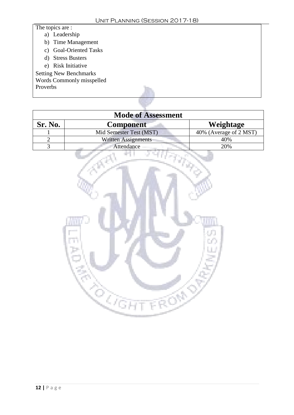# The topics are :

- a) Leadership
- b) Time Management
- c) Goal-Oriented Tasks
- d) Stress Busters
- e) Risk Initiative
- Setting New Benchmarks
- Words Commonly misspelled

Proverbs

| <b>Mode of Assessment</b> |                            |                        |  |
|---------------------------|----------------------------|------------------------|--|
| Sr. No.                   | <b>Component</b>           | Weightage              |  |
|                           | Mid Semester Test (MST)    | 40% (Average of 2 MST) |  |
|                           | <b>Written Assignments</b> | 40%                    |  |
|                           | Attendance                 | 20%                    |  |

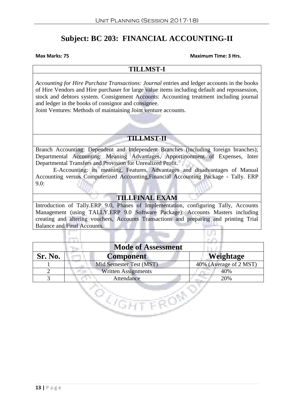# **Subject: BC 203: FINANCIAL ACCOUNTING-II**

#### **Max Marks: 75 Maximum Time: 3 Hrs.**

### **TILLMST-I**

*Accounting for Hire Purchase Transactions: Journal* entries and ledger accounts in the books of Hire Vendors and Hire purchaser for large value items including default and repossession, stock and debtors system. Consignment Accounts: Accounting treatment including journal and ledger in the books of consignor and consignee.

Joint Ventures: Methods of maintaining Joint venture accounts.

# **TILLMST-II**

Branch Accounting: Dependent and Independent Branches (including foreign branches); Departmental Accounting: Meaning Advantages, Apportinonment of Expenses, Inter Departmental Transfers and Provision for Unrealized Profit.

E-Accounting: its meaning, Features, Advantages and disadvantages of Manual Accounting versus Computerized Accounting,Financial Accounting Package - Tally. ERP 9.0:

## **TILLFINAL EXAM**

Introduction of Tally.ERP 9.0, Phases of Implementation, configuring Tally, Accounts Management (using TALLY.ERP 9.0 Software Package): Accounts Masters including creating and altering vouchers, Accounts Transactions and preparing and printing Trial Balance and Final Accounts.

| <b>Mode of Assessment</b> |                            |                                            |
|---------------------------|----------------------------|--------------------------------------------|
| Sr. No.                   | <b>Component</b>           | Weightage                                  |
|                           | Mid Semester Test (MST)    | 40% (Average of $2\overline{\text{MST}}$ ) |
|                           | <b>Written Assignments</b> | 40%                                        |
|                           | Attendance                 | 20%                                        |
|                           |                            |                                            |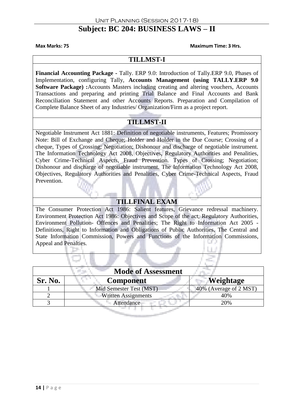# **Subject: BC 204: BUSINESS LAWS – II**

**Max Marks: 75 Maximum Time: 3 Hrs.**

### **TILLMST-I**

**Financial Accounting Package -** Tally. ERP 9.0: Introduction of Tally.ERP 9.0, Phases of Implementation, configuring Tally, **Accounts Management (using TALLY.ERP 9.0 Software Package) :**Accounts Masters including creating and altering vouchers, Accounts Transactions and preparing and printing Trial Balance and Final Accounts and Bank Reconciliation Statement and other Accounts Reports. Preparation and Compilation of Complete Balance Sheet of any Industries/ Organization/Firm as a project report.

# **TILLMST-II**

Negotiable Instrument Act 1881: Definition of negotiable instruments, Features; Promissory Note: Bill of Exchange and Cheque; Holder and Holder in the Due Course; Crossing of a cheque, Types of Crossing; Negotiation; Dishonour and discharge of negotiable instrument. The Information Technology Act 2008, Objectives, Regulatory Authorities and Penalities, Cyber Crime-Technical Aspects, Fraud Prevention. Types of Crossing; Negotiation; Dishonour and discharge of negotiable instrument. The Information Technology Act 2008, Objectives, Regulatory Authorities and Penalities, Cyber Crime-Technical Aspects, Fraud Prevention.

## **TILLFINAL EXAM**

The Consumer Protection Act 1986: Salient features, Grievance redressal machinery. Environment Protection Act 1986: Objectives and Scope of the act, Regulatory Authorities, Environment Pollution- Offences and Penalities; The Right to Information Act 2005 - Definitions, Right to Information and Obligations of Public Authorities, The Central and State Information Commission, Powers and Functions of the Information Commissions, Appeal and Penalties*.*

| <b>Mode of Assessment</b> |                            |                        |
|---------------------------|----------------------------|------------------------|
| Sr. No.                   | <b>Component</b>           | Weightage              |
|                           | Mid Semester Test (MST)    | 40% (Average of 2 MST) |
|                           | <b>Written Assignments</b> | 40%                    |
|                           | Attendance                 | 20%                    |
|                           |                            |                        |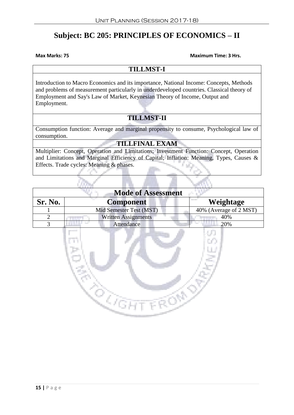# **Subject: BC 205: PRINCIPLES OF ECONOMICS – II**

**Max Marks: 75 Maximum Time: 3 Hrs.**

#### **TILLMST-I**

Introduction to Macro Economics and its importance, National Income: Concepts, Methods and problems of measurement particularly in underdeveloped countries. Classical theory of Employment and Say's Law of Market, Keynesian Theory of Income, Output and Employment.

## **TILLMST-II**

Consumption function: Average and marginal propensity to consume, Psychological law of consumption.

## **TILLFINAL EXAM**

Multiplier: Concept, Operation and Limitations; Investment Function: Concept, Operation and Limitations and Marginal Efficiency of Capital; Inflation: Meaning, Types, Causes & Effects. Trade cycles: Meaning & phases.

| <b>Mode of Assessment</b> |                            |                              |
|---------------------------|----------------------------|------------------------------|
| Sr. No.                   | <b>Component</b>           | <b>Contract</b><br>Weightage |
|                           | Mid Semester Test (MST)    | 40% (Average of 2 MST)       |
|                           | <b>Written Assignments</b> | 40%                          |
|                           | Attendance                 | 20%                          |

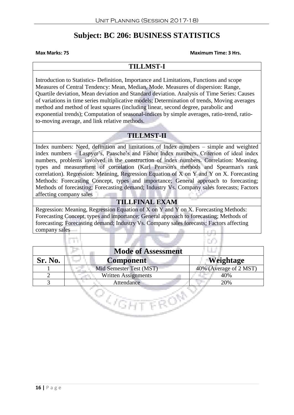# **Subject: BC 206: BUSINESS STATISTICS**

**Max Marks: 75 Maximum Time: 3 Hrs.**

## **TILLMST-I**

Introduction to Statistics- Definition, Importance and Limitations, Functions and scope Measures of Central Tendency: Mean, Median, Mode. Measures of dispersion: Range, Quartile deviation, Mean deviation and Standard deviation. Analysis of Time Series: Causes of variations in time series multiplicative models; Determination of trends, Moving averages method and method of least squares (including linear, second degree, parabolic and exponential trends); Computation of seasonal-indices by simple averages, ratio-trend, ratioto-moving average, and link relative methods.

## **TILLMST-II**

Index numbers: Need, definition and limitations of Index numbers – simple and weighted index numbers – Laspyer's, Paasche's and Fisher Index numbers, Criterion of ideal index numbers, problems involved in the construction of index numbers. Correlation: Meaning, types and measurement of correlation (Karl Pearson's methods and Spearman's rank correlation). Regression: Meaning, Regression Equation of X on Y and Y on X. Forecasting Methods: Forecasting Concept, types and importance; General approach to forecasting; Methods of forecasting; Forecasting demand; Industry Vs. Company sales forecasts; Factors affecting company sales

# **TILLFINAL EXAM**

Regression: Meaning, Regression Equation of X on Y and Y on X. Forecasting Methods: Forecasting Concept, types and importance; General approach to forecasting; Methods of forecasting; Forecasting demand; Industry Vs. Company sales forecasts; Factors affecting company sales

| <b>Mode of Assessment</b> |                            |                        |
|---------------------------|----------------------------|------------------------|
| Sr. No.                   | <b>Component</b>           | <b>Weightage</b>       |
|                           | Mid Semester Test (MST)    | 40% (Average of 2 MST) |
|                           | <b>Written Assignments</b> | 40%                    |
|                           | Attendance                 | 20%                    |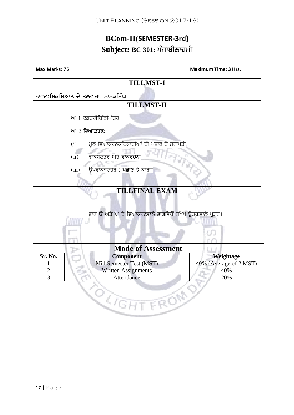# **BCom-II(SEMESTER-3rd) Subject: BC 301: ਪੰਜਾਬੀਲਾਜ਼ਮੀ**



| <b>Mode of Assessment</b> |                            |                        |
|---------------------------|----------------------------|------------------------|
| Sr. No.                   | <b>Component</b>           | Weightage              |
|                           | Mid Semester Test (MST)    | 40% (Average of 2 MST) |
|                           | <b>Written Assignments</b> | 40%                    |
|                           | Attendance                 | 20%                    |
|                           |                            |                        |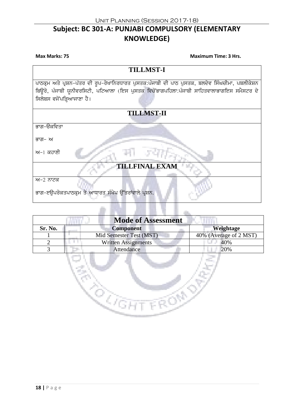# **Subject: BC 301-A: PUNJABI COMPULSORY (ELEMENTARY KNOWLEDGE)**

**TILLMST-I** <u>ਪਾਠਕ੍ਰਮ ਅਤੇ ਪ੍ਰਸ਼ਨ-ਪੱਤਰ ਦੀ ਰੂਪ-ਰੇਖਾਨਿਰਧਾਰਤ ਪੁਸਤਕ:ਪੰਜਾਬੀ ਦੀ ਪਾਠ ਪੁਸਤਕ, ਬਲਦੇਵ ਸਿੰਘਚੀਮਾ, ਪਬਲੀਕੇਸ਼ਨ</u> fਬਉਰੋ, ਪੰਜਾਬੀ ਯੂਨੀਵਰਸਿਟੀ, ਪਟਿਆਲਾ (ਇਸ ਪੁਸਤਕ ਵਿਚੋਂਭਾਗਪਹਿਲਾ:ਪੰਜਾਬੀ ਸਾਹਿਤਵਾਲਾਭਾਗਇਸ ਸਮੈਸਟਰ ਦੇ ਸ਼ਿਲੇਬਸ ਵਜੋਂਪੜਿਆਜਾਣਾ ਹੈ। **TILLMST-II** ਭਾਗ–ੳਕਵਿਤਾ ਕ਼ਾਗ– ਅ  $m-1$  ਕਹਾਣੀ **TILLFINAL EXA** ਅ−2 ਨਾਟਕ ਭਾਗ-ੲਉਪਰੋਕਤਪਾਠਕ੍ਰਮ ਤੇ ਆਧਾਰਤ ਸੰਖੇਪ ਉੱਤਰਾਂਵਾਲੇ ਪੁਸ਼ਨ.

| <b>Mode of Assessment</b> |                            |                        |
|---------------------------|----------------------------|------------------------|
| Sr. No.                   | <b>Component</b>           | Weightage              |
|                           | Mid Semester Test (MST)    | 40% (Average of 2 MST) |
|                           | <b>Written Assignments</b> | 40%                    |
|                           | Attendance                 | 20%                    |
|                           |                            |                        |

**CONNECTION** 

Q,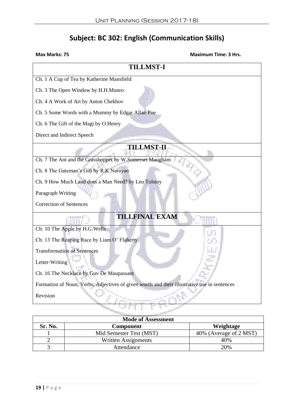# **Subject: BC 302: English (Communication Skills)**

| <b>TILLMST-I</b>                                                                            |  |  |
|---------------------------------------------------------------------------------------------|--|--|
| Ch. 1 A Cup of Tea by Katherine Mansfield                                                   |  |  |
| Ch. 3 The Open Window by H.H.Munro                                                          |  |  |
| Ch. 4 A Work of Art by Anton Chekhov                                                        |  |  |
| Ch. 5 Some Words with a Mummy by Edgar Allan Poe                                            |  |  |
| Ch. 6 The Gift of the Magi by O.Henry                                                       |  |  |
| Direct and Indirect Speech                                                                  |  |  |
| <b>TILLMST-II</b>                                                                           |  |  |
| Ch. 7 The Ant and the Grasshopper by W.Somerset Maugham                                     |  |  |
| Ch. 8 The Gateman's Gift by R.K.Narayan                                                     |  |  |
| Ch. 9 How Much Land does a Man Need? by Leo Tolstoy                                         |  |  |
| Paragraph Writing                                                                           |  |  |
| <b>Correction of Sentences</b>                                                              |  |  |
| <b>TILLFINAL EXAM</b>                                                                       |  |  |
| Ch. 10 The Apple by H.G.Wells                                                               |  |  |
| Ch. 13 The Reaping Race by Liam O' Flaherty                                                 |  |  |
| <b>Transformation of Sentences</b>                                                          |  |  |
| Letter-Writing                                                                              |  |  |
| Ch. 16 The Necklace by Guv De Maupassant                                                    |  |  |
| Formation of Noun, Verbs, Adjectives of given words and their illustrative use in sentences |  |  |
| Revision                                                                                    |  |  |
|                                                                                             |  |  |

| <b>Mode of Assessment</b> |                         |                        |
|---------------------------|-------------------------|------------------------|
| Sr. No.                   | Component               | Weightage              |
|                           | Mid Semester Test (MST) | 40% (Average of 2 MST) |
|                           | Written Assignments     | 40%                    |
|                           | Attendance              | 20%                    |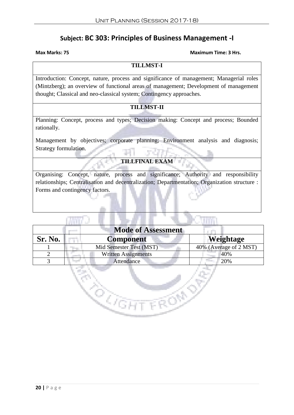# **Subject: BC 303: Principles of Business Management -I**

**Suppl** 

#### **Max Marks: 75 Maximum Time: 3 Hrs.**

#### **TILLMST-I**

Introduction: Concept, nature, process and significance of management; Managerial roles (Mintzberg); an overview of functional areas of management; Development of management thought; Classical and neo-classical system; Contingency approaches.

## **TILLMST-II**

Planning: Concept, process and types; Decision making: Concept and process; Bounded rationally.

Management by objectives; corporate planning; Environment analysis and diagnosis; Strategy formulation.

### **TILLFINAL EXAM**

Organising: Concept, nature, process and significance; Authority and responsibility relationships; Centralisation and decentralization; Departmentation; Organization structure : Forms and contingency factors.

| <b>Mode of Assessment</b> |                            |                        |
|---------------------------|----------------------------|------------------------|
| Sr. No.                   | <b>Component</b>           | Weightage              |
|                           | Mid Semester Test (MST)    | 40% (Average of 2 MST) |
| $\mathcal{D}$             | <b>Written Assignments</b> | 40%                    |
|                           | Attendance                 | 20%                    |
|                           |                            |                        |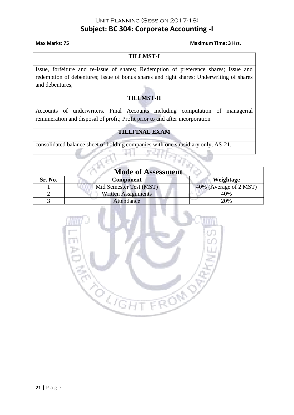# **Subject: BC 304: Corporate Accounting -I**

#### **Max Marks: 75 Maximum Time: 3 Hrs.**

#### **TILLMST-I**

Issue, forfeiture and re-issue of shares; Redemption of preference shares; Issue and redemption of debentures; Issue of bonus shares and right shares; Underwriting of shares and debentures;

# **TILLMST-II**

Accounts of underwriters. Final Accounts including computation of managerial remuneration and disposal of profit; Profit prior to and after incorporation

# **TILLFINAL EXAM**

consolidated balance sheet of holding companies with one subsidiary only, AS-21.

| <b>Mode of Assessment</b> |                            |                        |
|---------------------------|----------------------------|------------------------|
| Sr. No.                   | <b>Component</b>           | Weightage              |
|                           | Mid Semester Test (MST)    | 40% (Average of 2 MST) |
|                           | <b>Written Assignments</b> | 40%                    |
|                           | Attendance                 | 20%                    |

T E gu

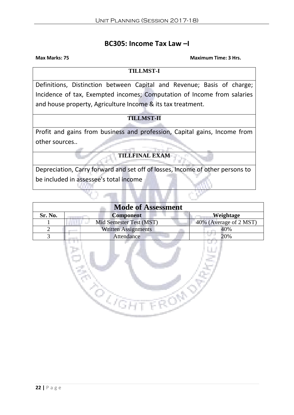# **BC305: Income Tax Law –I**

#### **Max Marks: 75 Maximum Time: 3 Hrs.**

#### **TILLMST-I**

Definitions, Distinction between Capital and Revenue; Basis of charge; Incidence of tax, Exempted incomes; Computation of Income from salaries and house property, Agriculture Income & its tax treatment.

## **TILLMST-II**

Profit and gains from business and profession, Capital gains, Income from other sources..

**TILLFINAL EXAM**

Depreciation, Carry forward and set off of losses, Income of other persons to be included in assessee's total income

| <b>Mode of Assessment</b> |                            |                        |
|---------------------------|----------------------------|------------------------|
| Sr. No.                   | <b>Component</b>           | Weightage              |
|                           | Mid Semester Test (MST)    | 40% (Average of 2 MST) |
|                           | <b>Written Assignments</b> | 40%                    |
|                           | Attendance                 | 20%                    |
|                           |                            |                        |

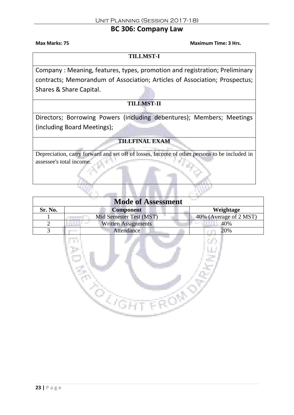# **BC 306: Company Law**

**Max Marks: 75 Maximum Time: 3 Hrs.**

**TILLMST-I**

Company : Meaning, features, types, promotion and registration; Preliminary contracts; Memorandum of Association; Articles of Association; Prospectus; Shares & Share Capital.

# **TILLMST-II**

Directors; Borrowing Powers (including debentures); Members; Meetings (including Board Meetings);

## **TILLFINAL EXAM**

Depreciation, carry forward and set off of losses, Income of other persons to be included in assessee's total income.

| <b>Mode of Assessment</b> |                            |                        |
|---------------------------|----------------------------|------------------------|
| Sr. No.                   | <b>Component</b>           | Weightage              |
|                           | Mid Semester Test (MST)    | 40% (Average of 2 MST) |
|                           | <b>Written Assignments</b> | 40%                    |
|                           | Attendance                 | 20%                    |

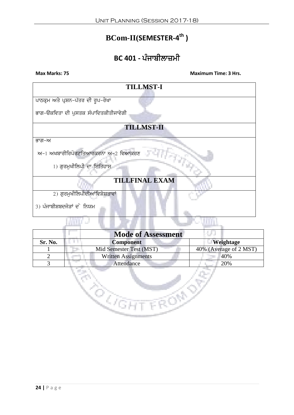# **BCom-II(SEMESTER-4 th )**

# **BC 401 - ਪੰਜਾਬੀਲਾਜ਼ਮੀ**

**Max Marks: 75 Maximum Time: 3 Hrs.**



| <b>Mode of Assessment</b> |                            |                        |
|---------------------------|----------------------------|------------------------|
| Sr. No.                   | <b>Component</b>           | Weightage              |
|                           | Mid Semester Test (MST)    | 40% (Average of 2 MST) |
|                           | <b>Written Assignments</b> | 40%                    |
|                           | Attendance                 | 20%                    |
|                           |                            |                        |

<u>the Company</u>

en de la défantation de la décime de la décime de la décime de la décime de la décime de la décime de la décim<br>La décime de la décime de la décime de la décime de la décime de la décime de la décime de la décime de la déc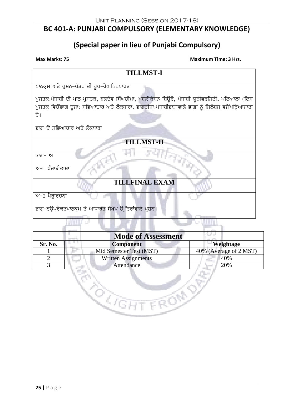# **BC 401-A: PUNJABI COMPULSORY (ELEMENTARY KNOWLEDGE)**

# **(Special paper in lieu of Punjabi Compulsory)**

| <b>Max Marks: 75</b> |  |
|----------------------|--|
|                      |  |

| <b>TILLMST-I</b>                                                                                         |  |  |
|----------------------------------------------------------------------------------------------------------|--|--|
| ਪਾਠਕ੍ਰਮ ਅਤੇ ਪ੍ਰਸ਼ਨ-ਪੱਤਰ ਦੀ ਰੂਪ-ਰੇਖਾਨਿਰਧਾਰਤ                                                               |  |  |
| ਪੁਸਤਕ:ਪੰਜਾਬੀ ਦੀ ਪਾਠ ਪੁਸਤਕ, ਬਲਦੇਵ ਸਿੰਘਚੀਮਾ, ਪਬਲੀਕੇਸ਼ਨ ਬਿਉਰੋ, ਪੰਜਾਬੀ ਯੂਨੀਵਰਸਿਟੀ, ਪਟਿਆਲਾ (ਇਸ                |  |  |
| ਪੁਸਤਕ ਵਿਚੋਂਭਾਗ ਦੂਜਾ: ਸਭਿਆਚਾਰ ਅਤੇ ਲੋਕਧਾਰਾ, ਭਾਗਤੀਜਾ:ਪੰਜਾਬੀਭਾਸ਼ਾਵਾਲੇ ਭਾਗਾਂ ਨੂੰ ਸਿਲੇਬਸ ਵਜੋਂਪੜ੍ਹਿਆਜਾਣਾ<br>ਹੈ। |  |  |
| ਭਾਗ-ੳ ਸਭਿਆਚਾਰ ਅਤੇ ਲੋਕਧਾਰਾ                                                                                |  |  |
|                                                                                                          |  |  |
| <b>TILLMST-II</b>                                                                                        |  |  |
| ਭਾਗ– ਅ                                                                                                   |  |  |
| ਅ−1 ਪੰਜਾਬੀਭਾਸ਼ਾ                                                                                          |  |  |
| <b>TILLFINAL EXAM</b>                                                                                    |  |  |
| ਅ−2 ਪੈਰ੍ਹਾਰਚਨਾ                                                                                           |  |  |
| ਭਾਗ-ੲਉਪਰੋਕਤਪਾਠਕ੍ਰਮ ਤੇ ਆਧਾਰਤ ਸੰਖੇਪ ਉੱਤਰਾਂਵਾਲੇ ਪੁਸ਼ਨ।                                                      |  |  |
|                                                                                                          |  |  |

| <b>Mode of Assessment</b> |                            |                        |
|---------------------------|----------------------------|------------------------|
| Sr. No.                   | <b>Component</b>           | Weightage              |
|                           | Mid Semester Test (MST)    | 40% (Average of 2 MST) |
|                           | <b>Written Assignments</b> | 40%                    |
|                           | Attendance                 | 20%                    |

Ì.

ka Ko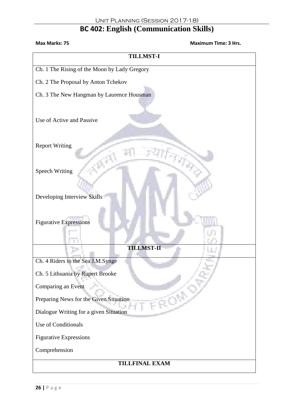# **BC 402: English (Communication Skills)**

| <b>Maximum Time: 3 Hrs.</b><br>Max Marks: 75 |  |  |
|----------------------------------------------|--|--|
| <b>TILLMST-I</b>                             |  |  |
| Ch. 1 The Rising of the Moon by Lady Gregory |  |  |
| Ch. 2 The Proposal by Anton Tchekov          |  |  |
| Ch. 3 The New Hangman by Laurence Housman    |  |  |
| Use of Active and Passive                    |  |  |
| <b>Report Writing</b>                        |  |  |
| <b>Speech Writing</b>                        |  |  |
| Developing Interview Skills                  |  |  |
| <b>Figurative Expressions</b>                |  |  |
| <b>TILLMST-II</b>                            |  |  |
| Ch. 4 Riders to the Sea J.M.Synge            |  |  |
| Ch. 5 Lithuania by Rupert Brooke             |  |  |
| Comparing an Event                           |  |  |
| Preparing News for the Given Situation       |  |  |
| Dialogue Writing for a given Situation       |  |  |
| Use of Conditionals                          |  |  |
| <b>Figurative Expressions</b>                |  |  |
| Comprehension                                |  |  |
| TILLFINAL EXAM                               |  |  |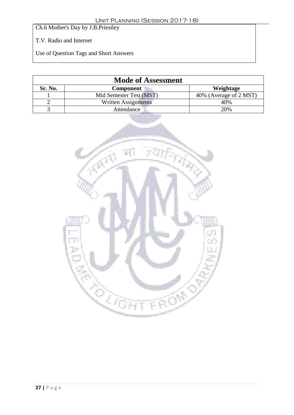Ch.6 Mother's Day by J.B.Priestley

T.V. Radio and Internet

Use of Question Tags and Short Answers

| <b>Mode of Assessment</b> |                            |                        |
|---------------------------|----------------------------|------------------------|
| Sr. No.                   | <b>Component</b>           | Weightage              |
|                           | Mid Semester Test (MST)    | 40% (Average of 2 MST) |
|                           | <b>Written Assignments</b> | 40%                    |
|                           | Attendance                 | 20%                    |

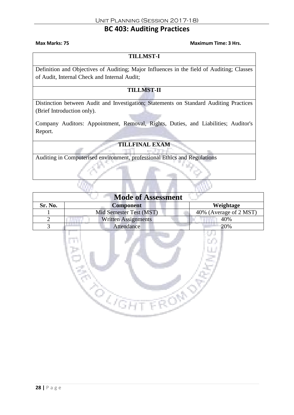# **BC 403: Auditing Practices**

#### **Max Marks: 75 Maximum Time: 3 Hrs.**

#### **TILLMST-I**

Definition and Objectives of Auditing; Major Influences in the field of Auditing; Classes of Audit, Internal Check and Internal Audit;

## **TILLMST-II**

Distinction between Audit and Investigation; Statements on Standard Auditing Practices (Brief Introduction only).

Company Auditors: Appointment, Removal, Rights, Duties, and Liabilities; Auditor's Report.

## **TILLFINAL EXAM**

Auditing in Computerised environment, professional Ethics and Regulations

| <b>Mode of Assessment</b> |                         |                        |
|---------------------------|-------------------------|------------------------|
| Sr. No.                   | <b>Component</b>        | Weightage              |
|                           | Mid Semester Test (MST) | 40% (Average of 2 MST) |
|                           | Written Assignments     | 40%                    |
|                           | Attendance              | 20%                    |

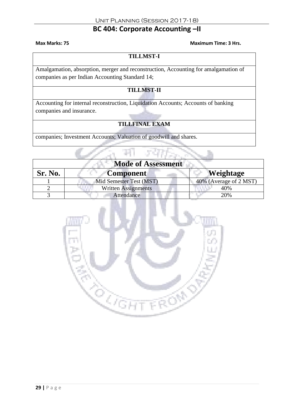# **BC 404: Corporate Accounting –II**

#### **Max Marks: 75 Maximum Time: 3 Hrs.**

The

#### **TILLMST-I**

Amalgamation, absorption, merger and reconstruction, Accounting for amalgamation of companies as per Indian Accounting Standard 14;

## **TILLMST-II**

Accounting for internal reconstruction, Liquidation Accounts; Accounts of banking companies and insurance.

# **TILLFINAL EXAM**

companies; Investment Accounts; Valuation of goodwill and shares.

m

| <b>Mode of Assessment</b> |                         |                        |
|---------------------------|-------------------------|------------------------|
| Sr. No.                   | <b>Component</b>        | <b>Weightage</b>       |
|                           | Mid Semester Test (MST) | 40% (Average of 2 MST) |
|                           | Written Assignments     | 40%                    |
|                           | Attendance              | 20%                    |

**STORY** 

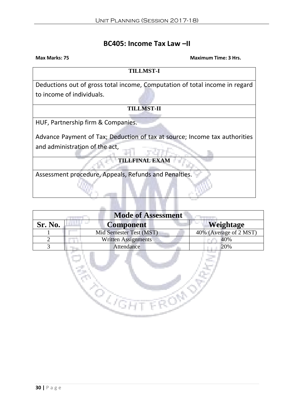# **BC405: Income Tax Law –II**

**Max Marks: 75 Maximum Time: 3 Hrs. TILLMST-I** Deductions out of gross total income, Computation of total income in regard to income of individuals. **TILLMST-II** HUF, Partnership firm & Companies. Advance Payment of Tax; Deduction of tax at source; Income tax authorities and administration of the act, **TILLFINAL EXAM** Assessment procedure, Appeals, Refunds and Penalties.

| <b>Mode of Assessment</b> |                            |                        |
|---------------------------|----------------------------|------------------------|
| Sr. No.                   | <b>Component</b>           | Weightage              |
|                           | Mid Semester Test (MST)    | 40% (Average of 2 MST) |
|                           | <b>Written Assignments</b> | 40%                    |
|                           | Attendance                 | 20%                    |

E S

Ì.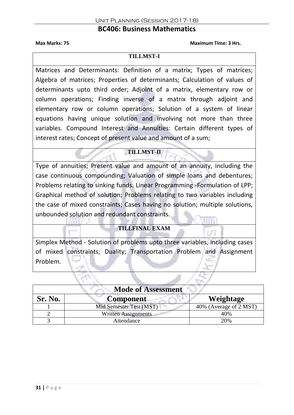## **BC406: Business Mathematics**

**Max Marks: 75 Maximum Time: 3 Hrs.**

a m

#### **TILLMST-I**

Matrices and Determinants: Definition of a matrix; Types of matrices; Algebra of matrices; Properties of determinants; Calculation of values of determinants upto third order; Adjoint of a matrix, elementary row or column operations; Finding inverse of a matrix through adjoint and elementary row or column operations; Solution of a system of linear equations having unique solution and involving not more than three variables. Compound Interest and Annuities: Certain different types of interest rates; Concept of present value and amount of a sum;

## **TILLMST-II**

Type of annuities; Present value and amount of an annuity, including the case continuous compounding; Valuation of simple loans and debentures; Problems relating to sinking funds. Linear Programming -Formulation of LPP; Graphical method of solution; Problems relating to two variables including the case of mixed constraints; Cases having no solution; multiple solutions, unbounded solution and redundant constraints.

## **TILLFINAL EXAM**

Simplex Method - Solution of problems upto three variables, including cases of mixed constraints; Duality; Transportation Problem and Assignment Problem.

| <b>Mode of Assessment</b> |                            |                        |
|---------------------------|----------------------------|------------------------|
| Sr. No.                   | <b>Component</b>           | Weightage              |
|                           | Mid Semester Test (MST)    | 40% (Average of 2 MST) |
|                           | <b>Written Assignments</b> | 40%                    |
|                           | Attendance                 | 20%                    |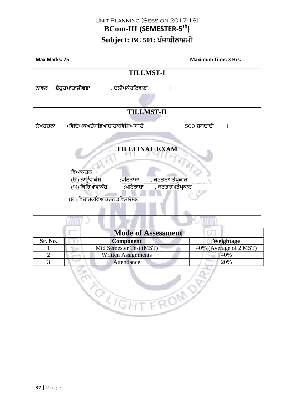# **BCom-III (SEMESTER-5 th)**

# Subject: BC 501: ਪੰਜਾਬੀਲਾਜ਼ਮੀ

**Max Marks: 75 Maximum Time: 3 Hrs. TILLMST-I** ਨਾਵਲ :**ਏਹੁਹਮਾਰਾਜੀਵਣਾ** , ਦਲੀਪਕੈਰਟਿਵਾਣਾ । **TILLMST-II** ਲੇਖਰਚਨਾ (ਵਿਦਿਅਕਅਤੇਸਭਿਆਚਾਰਕਵਿਸ਼ਿਆਂਬਾਰੇ 500 ਸ਼ਬਦਾਂਦੀ ) **TILLFINAL EXAM** ਵਿਆਕਰਨ<br>(ੳ) ਨਾੳਂਵਾਕੰਸ਼ :ਪਰਿਭਾਸ਼ਾ ,ਬਣਤਰਅਤੇਪ੍ਰਕਾਰ<br>:ਪਰਿਭਾਸ਼ਾ ਬਣਤਰਅਤੇਪਕਾ <sub>(ਅ)</sub> ਕਿਰਿਆਵਾਕੰਸ਼ :ਪਰਿਭਾਸ਼ਾ , ਬਣਤਰਅਤੇਪਕਾਰ (ੲ) ਵਿਹਾਰਕਵਿਆਕਰਨਕਵਿਸ਼ਲੇਸਣ **Ryan** 

| <b>Mode of Assessment</b>  |                        |
|----------------------------|------------------------|
| <b>Component</b>           | Weightage              |
| Mid Semester Test (MST)    | 40% (Average of 2 MST) |
| <b>Written Assignments</b> | 40%                    |
| Attendance                 | 20%                    |
|                            |                        |

Z,

R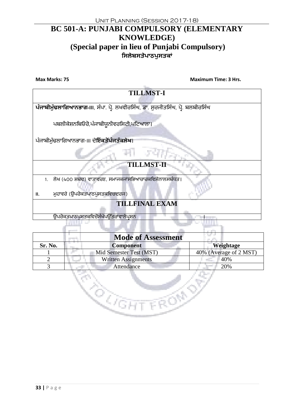# **BC 501-A: PUNJABI COMPULSORY (ELEMENTARY KNOWLEDGE) (Special paper in lieu of Punjabi Compulsory) ਸਿਲੇਬਿਤੇਪਾਠਪੁਿਤਕਾਂ**

**Max Marks: 75 Maximum Time: 3 Hrs.**

| <b>TILLMST-I</b>                                                                |  |  |
|---------------------------------------------------------------------------------|--|--|
|                                                                                 |  |  |
| ਪੰਜਾਬੀਮੁੱਢਲਾਗਿਆਨਭਾਗ-III, ਸੰਪਾ. ਪ੍ਰੋ. ਲਖਵੀਰਸਿੰਘ, ਡਾ. ਸੁਰਜੀਤਸਿੰਘ, ਪ੍ਰੋ. ਬਲਬੀਰਸਿੰਘ |  |  |
|                                                                                 |  |  |
| ਪਬਲੀਕੇਸ਼ਨਬਿਓਰੋ,ਪੰਜਾਬੀਯੁਨੀਵਰਸਿਟੀ,ਪਟਿਆਲਾ।                                         |  |  |
|                                                                                 |  |  |
|                                                                                 |  |  |
| ਪੰਜਾਬੀਮੁੱਢਲਾਗਿਆਨਭਾਗ-॥। ਦੇ <b>ਇੱਕਤੋਂਪੰਜਤੱਕਲੇਖ।</b>                               |  |  |
|                                                                                 |  |  |
|                                                                                 |  |  |
| <b>TILLMST-II</b>                                                               |  |  |
|                                                                                 |  |  |
| ਲੇਖ (400 ਸ਼ਬਦ) ਵਾਤਾਵਰਣ, ਸਮਾਜਕਜਾਂਸਭਿਆਚਾਰਕਵਿਸ਼ੇਨਾਲਸਬੰਧਤ।<br>1.                    |  |  |
|                                                                                 |  |  |
| ਮੁਹਾਵਰੇ (ਉਪਰੋਕਤਪਾਠਪੁਸਤਕਵਿਚਦਰਜ)<br>Ш.                                            |  |  |
| <b>TILLFINAL EXAM</b>                                                           |  |  |
|                                                                                 |  |  |
| ਉਪਰੋਕਤਪਾਠਪੁਸਤਕਵਿਚੋਂਸੰਖੇਪਉੱਤਰਾਂਵਾਲੇਪਸ਼ਨ                                          |  |  |
|                                                                                 |  |  |
|                                                                                 |  |  |

|         | <b>Mode of Assessment</b>  |                        |
|---------|----------------------------|------------------------|
| Sr. No. | <b>Component</b>           | Weightage              |
|         | Mid Semester Test (MST)    | 40% (Average of 2 MST) |
|         | <b>Written Assignments</b> | 40%                    |
|         | Attendance                 | 20%                    |

**GHT FROM** 

en<br>Kanpo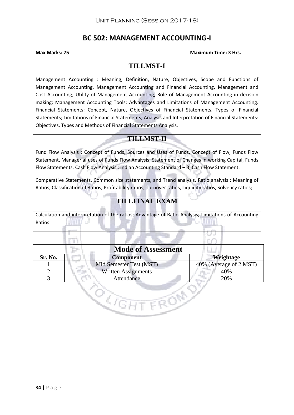# **BC 502: MANAGEMENT ACCOUNTING-I**

#### **Max Marks: 75 Maximum Time: 3 Hrs.**

# **TILLMST-I**

Management Accounting : Meaning, Definition, Nature, Objectives, Scope and Functions of Management Accounting, Management Accounting and Financial Accounting, Management and Cost Accounting; Utility of Management Accounting, Role of Management Accounting in decision making; Management Accounting Tools; Advantages and Limitations of Management Accounting. Financial Statements: Concept, Nature, Objectives of Financial Statements, Types of Financial Statements; Limitations of Financial Statements; Analysis and Interpretation of Financial Statements: Objectives, Types and Methods of Financial Statements Analysis.

# **TILLMST-II**

Fund Flow Analysis : Concept of Funds, Sources and Uses of Funds, Concept of Flow, Funds Flow Statement, Managerial uses of Funds Flow Analysis, Statement of Changes in working Capital, Funds Flow Statements. Cash Flow Analysis : Indian Accounting Standard – 3, Cash Flow Statement.

Comparative Statements, Common size statements, and Trend analysis. Ratio analysis : Meaning of Ratios, Classification of Ratios, Profitability ratios, Turnover ratios, Liquidity ratios, Solvency ratios;

# **TILLFINAL EXAM**

Calculation and interpretation of the ratios; Advantage of Ratio Analysis; Limitations of Accounting Ratios

|         | <b>Mode of Assessment</b>  |                        |
|---------|----------------------------|------------------------|
| Sr. No. | <b>Component</b>           | Weightage              |
|         | Mid Semester Test (MST)    | 40% (Average of 2 MST) |
|         | <b>Written Assignments</b> | 40%                    |
|         | Attendance                 | 20%                    |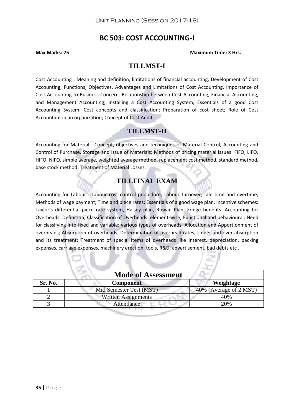# **BC 503: COST ACCOUNTING-I**

#### **Max Marks: 75 Maximum Time: 3 Hrs.**

# **TILLMST-I**

Cost Accounting : Meaning and definition, limitations of financial accounting, Development of Cost Accounting, Functions, Objectives, Advantages and Limitations of Cost Accounting, Importance of Cost Accounting to Business Concern. Relationship between Cost Accounting, Financial Accounting, and Management Accounting; Installing a Cost Accounting System, Essentials of a good Cost Accounting System. Cost concepts and classification; Preparation of cost sheet; Role of Cost Accountant in an organization; Concept of Cost Audit.

# **TILLMST-II**

Accounting for Material : Concept, objectives and techniques of Material Control, Accounting and Control of Purchase, Storage and Issue of Materials; Methods of pricing material issues: FIFO, LIFO, HIFO, NIFO, simple average, weighted average method, replacement cost method, standard method, base stock method; Treatment of Material Losses.

# **TILLFINAL EXAM**

Accounting for Labour : Labour cost control procedure; Labour turnover; Idle time and overtime; Methods of wage payment; Time and piece rates; Essentials of a good wage plan, Incentive schemes: Taylor's differential piece rate system, Halsey plan, Rowan Plan; Fringe benefits. Accounting for Overheads: Definition, Classification of Overheads: element-wise, Functional and behavioural; Need for classifying into fixed and variable; various types of overheads; Allocation and Apportionment of overheads; Absorption of overheads; Determination of overhead rates; Under and over absorption and its treatment; Treatment of special items of overheads like interest, depreciation, packing expenses, carriage expenses, machinery erection, tools, R&D, advertisement, bad debts etc .

| <b>Mode of Assessment</b> |                                                         |                        |
|---------------------------|---------------------------------------------------------|------------------------|
| Sr. No.                   | <b>Component</b>                                        | Weightage              |
|                           | Mid Semester Test (MST)                                 | 40% (Average of 2 MST) |
|                           | <b>Written Assignments</b><br><b><i>College Des</i></b> | 40%                    |
|                           | Attendance                                              | 20%                    |
|                           |                                                         |                        |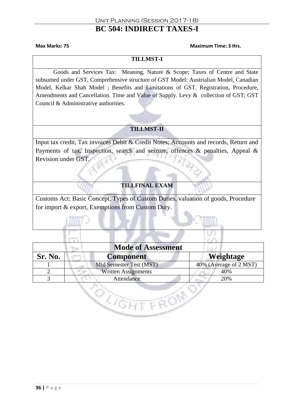# **BC 504: INDIRECT TAXES-I**

#### **Max Marks: 75 Maximum Time: 3 Hrs.**

#### **TILLMST-I**

Goods and Services Tax: Meaning, Nature & Scope; Taxes of Centre and State subsumed under GST, Comprehensive structure of GST Model: Austrialian Model, Canadian Model, Kelkar Shah Model ; Benefits and Limitations of GST. Registration, Procedure, Amendments and Cancellation. Time and Value of Supply. Levy & collection of GST; GST Council & Administrative authorities.

# **TILLMST-II**

Input tax credit, Tax invoices Debit & Credit Notes; Accounts and records, Return and Payments of tax, Inspection, search and seizure, offences & penalties, Appeal & Revision under GST.

## **TILLFINAL EXAM**

Customs Act: Basic Concept, Types of Custom Duties, valuation of goods, Procedure for import & export, Exemptions from Custom Duty.

| <b>Mode of Assessment</b> |                            |                        |
|---------------------------|----------------------------|------------------------|
| Sr. No.                   | Component                  | <b>Weightage</b>       |
|                           | Mid Semester Test (MST)    | 40% (Average of 2 MST) |
|                           | <b>Written Assignments</b> | 40%                    |
|                           | Attendance                 | 20%                    |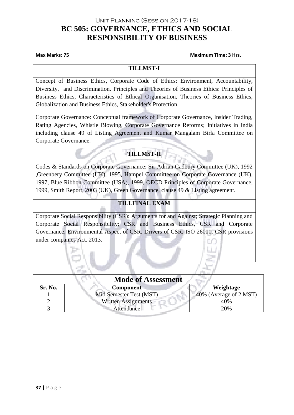# **BC 505: GOVERNANCE, ETHICS AND SOCIAL RESPONSIBILITY OF BUSINESS**

#### **Max Marks: 75 Maximum Time: 3 Hrs.**

#### **TILLMST-I**

Concept of Business Ethics, Corporate Code of Ethics: Environment, Accountability, Diversity, and Discrimination. Principles and Theories of Business Ethics: Principles of Business Ethics, Characteristics of Ethical Organisation, Theories of Business Ethics, Globalization and Business Ethics, Stakeholder's Protection.

Corporate Governance: Conceptual framework of Corporate Governance, Insider Trading, Rating Agencies, Whistle Blowing, Corporate Governance Reforms; Initiatives in India including clause 49 of Listing Agreement and Kumar Mangalam Birla Committee on Corporate Governance.

## **TILLMST-II**

Codes & Standards on Corporate Governance: Sir Adrian Cadbury Committee (UK), 1992 ,Greenbery Committee (UK), 1995, Hampel Committee on Corporate Governance (UK), 1997, Blue Ribbon Committee (USA), 1999, OECD Principles of Corporate Governance, 1999, Smith Report, 2003 (UK), Green Governance, clause 49 & Listing agreement.

## **TILLFINAL EXAM**

Corporate Social Responsibility (CSR): Arguments for and Against; Strategic Planning and Corporate Social Responsibility; CSR and Business Ethics, CSR and Corporate Governance, Environmental Aspect of CSR, Drivers of CSR, ISO 26000. CSR provisions under companies Act. 2013.

| <b>Mode of Assessment</b> |                            |                        |
|---------------------------|----------------------------|------------------------|
| Sr. No.                   | <b>Component</b>           | Weightage              |
|                           | Mid Semester Test (MST)    | 40% (Average of 2 MST) |
|                           | <b>Written Assignments</b> | 40%                    |
|                           | Attendance                 | 20%                    |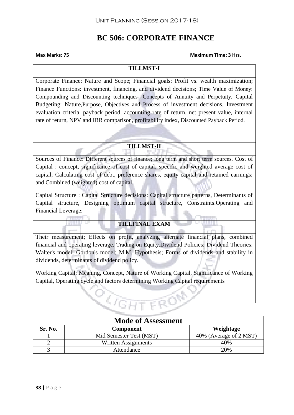# **BC 506: CORPORATE FINANCE**

#### **Max Marks: 75 Maximum Time: 3 Hrs.**

#### **TILLMST-I**

Corporate Finance: Nature and Scope; Financial goals: Profit vs. wealth maximization; Finance Functions: investment, financing, and dividend decisions; Time Value of Money: Compounding and Discounting techniques- Concepts of Annuity and Perpetuity. Capital Budgeting: Nature,Purpose, Objectives and Process of investment decisions, Investment evaluation criteria, payback period, accounting rate of return, net present value, internal rate of return, NPV and IRR comparison, profitability index, Discounted Payback Period.

## **TILLMST-II**

Sources of Finance: Different sources of finance; long term and short term sources. Cost of Capital : concept, significance of cost of capital, specific and weighted average cost of capital; Calculating cost of debt, preference shares, equity capital and retained earnings; and Combined (weighted) cost of capital.

Capital Structure : Capital Structure decisions: Capital structure patterns, Determinants of Capital structure, Designing optimum capital structure, Constraints.Operating and Financial Leverage:

## **TILLFINAL EXAM**

Their measurement; Effects on profit, analyzing alternate financial plans, combined financial and operating leverage. Trading on Equity.Dividend Policies: Dividend Theories: Walter's model; Gordon's model; M.M. Hypothesis; Forms of dividends and stability in dividends, determinants of dividend policy.

Working Capital: Meaning, Concept, Nature of Working Capital, Significance of Working Capital, Operating cycle and factors determining Working Capital requirements

| <b>Mode of Assessment</b> |                         |                        |
|---------------------------|-------------------------|------------------------|
| Sr. No.                   | <b>Component</b>        | Weightage              |
|                           | Mid Semester Test (MST) | 40% (Average of 2 MST) |
|                           | Written Assignments     | 40%                    |
|                           | Attendance              | 20%                    |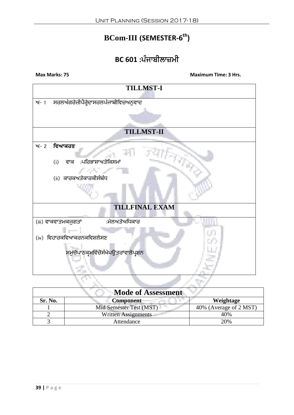# **BCom-III (SEMESTER-6 th)**

# **BC 601 :ਪੰਜਾਬੀਲਾਜ਼ਮੀ**



| Mode of Assessment |                            |                        |
|--------------------|----------------------------|------------------------|
| Sr. No.            | <b>Component</b>           | Weightage              |
|                    | Mid Semester Test (MST)    | 40% (Average of 2 MST) |
|                    | <b>Written Assignments</b> | 40%                    |
|                    | Attendance                 | 20%                    |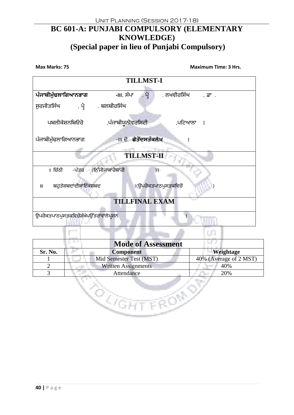# **BC 601-A: PUNJABI COMPULSORY (ELEMENTARY KNOWLEDGE) (Special paper in lieu of Punjabi Compulsory)**



| <b>Mode of Assessment</b> |                            |                        |
|---------------------------|----------------------------|------------------------|
| Sr. No.                   | <b>Component</b>           | Weightage              |
|                           | Mid Semester Test (MST)    | 40% (Average of 2 MST) |
|                           | <b>Written Assignments</b> | 40%                    |
| 2                         | Attendance                 | 20%                    |
|                           |                            |                        |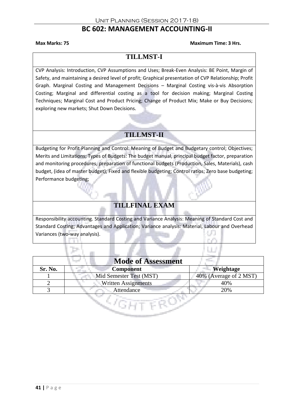# **BC 602: MANAGEMENT ACCOUNTING-II**

#### **Max Marks: 75 Maximum Time: 3 Hrs.**

# **TILLMST-I**

CVP Analysis: Introduction, CVP Assumptions and Uses; Break-Even Analysis: BE Point, Margin of Safety, and maintaining a desired level of profit; Graphical presentation of CVP Relationship; Profit Graph. Marginal Costing and Management Decisions – Marginal Costing vis-à-vis Absorption Costing; Marginal and differential costing as a tool for decision making; Marginal Costing Techniques; Marginal Cost and Product Pricing; Change of Product Mix; Make or Buy Decisions; exploring new markets; Shut Down Decisions.

# **TILLMST-II**

Budgeting for Profit Planning and Control: Meaning of Budget and Budgetary control; Objectives; Merits and Limitations; Types of Budgets: The budget manual, principal budget factor, preparation and monitoring procedures, preparation of functional budgets (Production, Sales, Materials), cash budget, (idea of master budget); Fixed and flexible budgeting; Control ratios; Zero base budgeting; Performance budgeting;

# **TILLFINAL EXAM**

Responsibility accounting. Standard Costing and Variance Analysis: Meaning of Standard Cost and Standard Costing; Advantages and Application; Variance analysis: Material, Labour and Overhead Variances (two-way analysis). o.

| <b>Mode of Assessment</b> |                            |                        |
|---------------------------|----------------------------|------------------------|
| Sr. No.                   | <b>Component</b>           | Weightage              |
|                           | Mid Semester Test (MST)    | 40% (Average of 2 MST) |
|                           | <b>Written Assignments</b> | 40%                    |
|                           | Attendance                 | 20%                    |
|                           |                            |                        |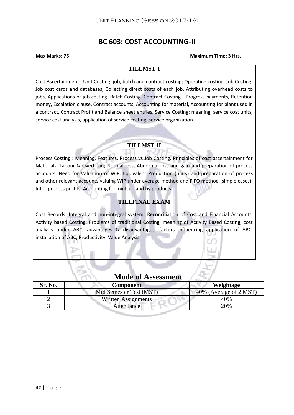# **BC 603: COST ACCOUNTING-II**

#### **Max Marks: 75 Maximum Time: 3 Hrs.**

#### **TILLMST-I**

Cost Ascertainment : Unit Costing; job, batch and contract costing; Operating costing. Job Costing: Job cost cards and databases, Collecting direct costs of each job, Attributing overhead costs to jobs, Applications of job costing. Batch Costing. Contract Costing - Progress payments, Retention money, Escalation clause, Contract accounts, Accounting for material, Accounting for plant used in a contract, Contract Profit and Balance sheet entries. Service Costing: meaning, service cost units, service cost analysis, application of service costing, service organization

# **TILLMST-II**

Process Costing : Meaning, Features, Process vs Job Costing, Principles of cost ascertainment for Materials, Labour & Overhead; Normal loss, Abnormal loss and gain and preparation of process accounts. Need for Valuation of WIP, Equivalent Production (units) and preparation of process and other relevant accounts valuing WIP under average method and FIFO method (simple cases). Inter-process profits, Accounting for joint, co and by products.

# **TILLFINAL EXAM**

Cost Records: Integral and non-integral system; Reconciliation of Cost and Financial Accounts. Activity based Costing: Problems of traditional Costing, meaning of Activity Based Costing, cost analysis under ABC, advantages & disadvantages, factors influencing application of ABC, installation of ABC; Productivity, Value Analysis.

| <b>Mode of Assessment</b> |                            |                        |  |  |
|---------------------------|----------------------------|------------------------|--|--|
| Sr. No.                   | <b>Component</b>           | Weightage              |  |  |
|                           | Mid Semester Test (MST)    | 40% (Average of 2 MST) |  |  |
|                           | <b>Written Assignments</b> | 40%                    |  |  |
|                           | Attendance                 | 20%                    |  |  |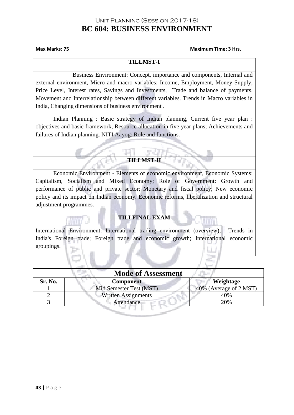#### Unit Planning (Session 2017-18) **BC 604: BUSINESS ENVIRONMENT**

#### **Max Marks: 75 Maximum Time: 3 Hrs.**

#### **TILLMST-I**

Business Environment: Concept, importance and components, Internal and external environment, Micro and macro variables: Income, Employment, Money Supply, Price Level, Interest rates, Savings and Investments, Trade and balance of payments. Movement and Interrelationship between different variables. Trends in Macro variables in India, Changing dimensions of business environment .

Indian Planning : Basic strategy of Indian planning, Current five year plan : objectives and basic framework, Resource allocation in five year plans; Achievements and failures of Indian planning. NITI Aayog: Role and functions.

### **TILLMST-II**

Economic Environment - Elements of economic environment, Economic Systems: Capitalism, Socialism and Mixed Economy; Role of Government: Growth and performance of public and private sector; Monetary and fiscal policy; New economic policy and its impact on Indian economy. Economic reforms, liberalization and structural adjustment programmes.

#### **TILLFINAL EXAM**

International Environment: International trading environment (overview); Trends in India's Foreign trade; Foreign trade and economic growth; International economic groupings.

| <b>Mode of Assessment</b> |                            |                        |  |  |
|---------------------------|----------------------------|------------------------|--|--|
| Sr. No.                   | <b>Component</b>           | Weightage              |  |  |
|                           | Mid Semester Test (MST)    | 40% (Average of 2 MST) |  |  |
|                           | <b>Written Assignments</b> | 40%                    |  |  |
|                           | Attendance                 | 20%                    |  |  |
|                           |                            |                        |  |  |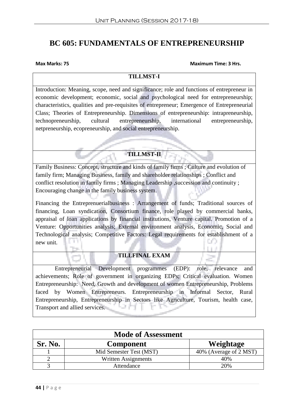# **BC 605: FUNDAMENTALS OF ENTREPRENEURSHIP**

#### **Max Marks: 75 Maximum Time: 3 Hrs.**

#### **TILLMST-I**

Introduction: Meaning, scope, need and significance; role and functions of entrepreneur in economic development; economic, social and psychological need for entrepreneurship; characteristics, qualities and pre-requisites of entrepreneur; Emergence of Entrepreneurial Class; Theories of Entrepreneurship. Dimensions of entrepreneurship: intrapreneurship, technopreneurship, cultural entrepreneurship, international entrepreneurship, netpreneurship, ecopreneurship, and social entrepreneurship.

**TILLMST-II**

Family Business: Concept, structure and kinds of family firms ; Culture and evolution of family firm; Managing Business, family and shareholder relationships ; Conflict and conflict resolution in family firms ; Managing Leadership ,succession and continuity ; Encouraging change in the family business system.

Financing the Entreprenuerialbusiness : Arrangement of funds; Traditional sources of financing, Loan syndication, Consortium finance, role played by commercial banks, appraisal of loan applications by financial institutions, Venture capital. Promotion of a Venture: Opportunities analysis; External environment analysis, Economic, Social and Technological analysis; Competitive Factors: Legal requirements for establishment of a new unit.

## **TILLFINAL EXAM**

Entrepreneurial Development programmes (EDP): role, relevance and achievements; Role of government in organizing EDPs; Critical evaluation. Women Entrepreneurship: Need, Growth and development of women Entrepreneurship, Problems faced by Women Entrepreneurs. Entrepreneurship in Informal Sector, Rural Entrepreneurship, Entrepreneurship in Sectors like Agriculture, Tourism, health case, ' la h Transport and allied services.

| <b>Mode of Assessment</b> |                         |                        |  |  |
|---------------------------|-------------------------|------------------------|--|--|
| Sr. No.                   | <b>Component</b>        | Weightage              |  |  |
|                           | Mid Semester Test (MST) | 40% (Average of 2 MST) |  |  |
|                           | Written Assignments     | 40%                    |  |  |
|                           | Attendance              | 20%                    |  |  |